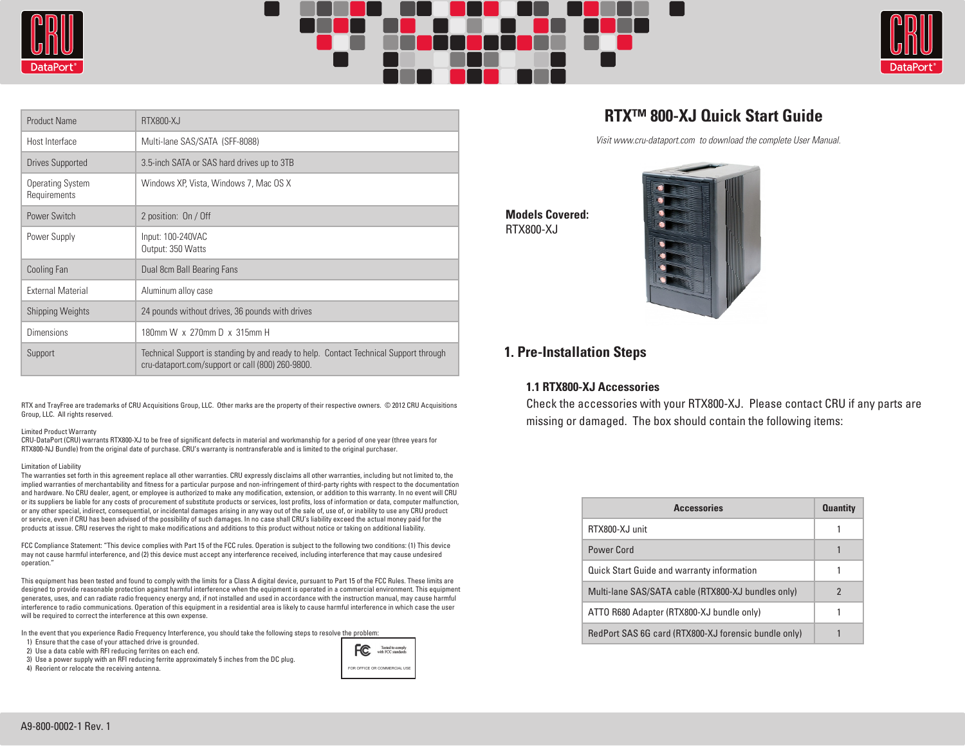





| <b>Product Name</b>                     | <b>RTX800-XJ</b>                                                                                                                          |
|-----------------------------------------|-------------------------------------------------------------------------------------------------------------------------------------------|
| Host Interface                          | Multi-lane SAS/SATA (SFF-8088)                                                                                                            |
| Drives Supported                        | 3.5-inch SATA or SAS hard drives up to 3TB                                                                                                |
| <b>Operating System</b><br>Requirements | Windows XP, Vista, Windows 7, Mac OS X                                                                                                    |
| Power Switch                            | 2 position: On / Off                                                                                                                      |
| Power Supply                            | Input: 100-240VAC<br>Output: 350 Watts                                                                                                    |
| Cooling Fan                             | Dual 8cm Ball Bearing Fans                                                                                                                |
| <b>External Material</b>                | Aluminum alloy case                                                                                                                       |
| <b>Shipping Weights</b>                 | 24 pounds without drives, 36 pounds with drives                                                                                           |
| Dimensions                              | 180mm W x 270mm D x 315mm H                                                                                                               |
| Support                                 | Technical Support is standing by and ready to help. Contact Technical Support through<br>cru-dataport.com/support or call (800) 260-9800. |

RTX and TrayFree are trademarks of CRU Acquisitions Group, LLC. Other marks are the property of their respective owners. © 2012 CRU Acquisitions Group, LLC. All rights reserved.

#### Limited Product Warranty

CRU-DataPort (CRU) warrants RTX800-XJ to be free of significant defects in material and workmanship for a period of one year (three years for RTX800-NJ Bundle) from the original date of purchase. CRU's warranty is nontransferable and is limited to the original purchaser.

#### Limitation of Liability

The warranties set forth in this agreement replace all other warranties. CRU expressly disclaims all other warranties, including but not limited to, the implied warranties of merchantability and fitness for a particular purpose and non-infringement of third-party rights with respect to the documentation and hardware. No CRU dealer, agent, or employee is authorized to make any modification, extension, or addition to this warranty. In no event will CRU or its suppliers be liable for any costs of procurement of substitute products or services, lost profits, loss of information or data, computer malfunction, or any other special, indirect, consequential, or incidental damages arising in any way out of the sale of, use of, or inability to use any CRU product or service, even if CRU has been advised of the possibility of such damages. In no case shall CRU's liability exceed the actual money paid for the products at issue. CRU reserves the right to make modifications and additions to this product without notice or taking on additional liability.

FCC Compliance Statement: "This device complies with Part 15 of the FCC rules. Operation is subject to the following two conditions: (1) This device may not cause harmful interference, and (2) this device must accept any interference received, including interference that may cause undesired oneration."

This equipment has been tested and found to comply with the limits for a Class A digital device, pursuant to Part 15 of the FCC Rules. These limits are designed to provide reasonable protection against harmful interference when the equipment is operated in a commercial environment. This equipment generates, uses, and can radiate radio frequency energy and, if not installed and used in accordance with the instruction manual, may cause harmful interference to radio communications. Operation of this equipment in a residential area is likely to cause harmful interference in which case the user will be required to correct the interference at this own expense.

In the event that you experience Radio Frequency Interference, you should take the following steps to resolve the problem:

1) Ensure that the case of your attached drive is grounded.

2) Use a data cable with RFI reducing ferrites on each end.

3) Use a power supply with an RFI reducing ferrite approximately 5 inches from the DC plug.

4) Reorient or relocate the receiving antenna.



# **RTX™ 800-XJ Quick Start Guide**

Visit www.cru-dataport.com to download the complete User Manual.

**Models Covered:** RTX800-XJ



## **1. Pre-Installation Steps**

### **1.1 RTX800-XJ Accessories**

Check the accessories with your RTX800-XJ. Please contact CRU if any parts are missing or damaged. The box should contain the following items:

| <b>Accessories</b>                                   | <b>Quantity</b> |
|------------------------------------------------------|-----------------|
| RTX800-XJ unit                                       |                 |
| Power Cord                                           |                 |
| <b>Quick Start Guide and warranty information</b>    |                 |
| Multi-lane SAS/SATA cable (RTX800-XJ bundles only)   | 2               |
| ATTO R680 Adapter (RTX800-XJ bundle only)            |                 |
| RedPort SAS 6G card (RTX800-XJ forensic bundle only) |                 |